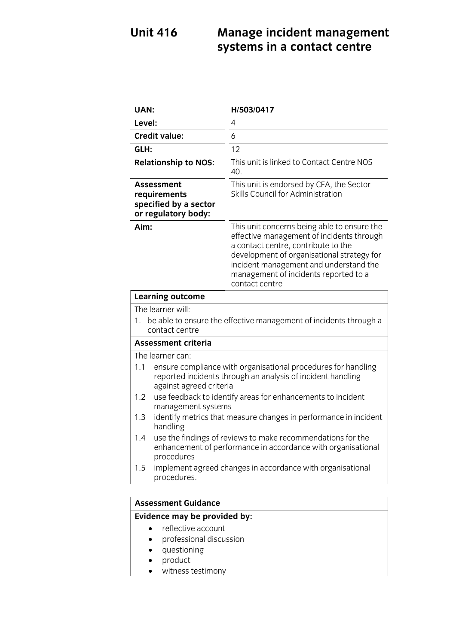### **Unit 416 Unit 416 Constants in a contact centre systems in a contact centre**

| <b>UAN:</b>                                                                                                                                                                                                                                                                                                                                                           |                                                                                                                                           | H/503/0417                                                                                                                                                                                                                                                                         |
|-----------------------------------------------------------------------------------------------------------------------------------------------------------------------------------------------------------------------------------------------------------------------------------------------------------------------------------------------------------------------|-------------------------------------------------------------------------------------------------------------------------------------------|------------------------------------------------------------------------------------------------------------------------------------------------------------------------------------------------------------------------------------------------------------------------------------|
| Level:                                                                                                                                                                                                                                                                                                                                                                |                                                                                                                                           | 4                                                                                                                                                                                                                                                                                  |
|                                                                                                                                                                                                                                                                                                                                                                       | <b>Credit value:</b>                                                                                                                      | 6                                                                                                                                                                                                                                                                                  |
| GLH:                                                                                                                                                                                                                                                                                                                                                                  |                                                                                                                                           | 12                                                                                                                                                                                                                                                                                 |
|                                                                                                                                                                                                                                                                                                                                                                       | <b>Relationship to NOS:</b>                                                                                                               | This unit is linked to Contact Centre NOS<br>40.                                                                                                                                                                                                                                   |
| Assessment<br>requirements<br>specified by a sector<br>or regulatory body:                                                                                                                                                                                                                                                                                            |                                                                                                                                           | This unit is endorsed by CFA, the Sector<br>Skills Council for Administration                                                                                                                                                                                                      |
| Aim:                                                                                                                                                                                                                                                                                                                                                                  |                                                                                                                                           | This unit concerns being able to ensure the<br>effective management of incidents through<br>a contact centre, contribute to the<br>development of organisational strategy for<br>incident management and understand the<br>management of incidents reported to a<br>contact centre |
|                                                                                                                                                                                                                                                                                                                                                                       | <b>Learning outcome</b>                                                                                                                   |                                                                                                                                                                                                                                                                                    |
| The learner will:                                                                                                                                                                                                                                                                                                                                                     |                                                                                                                                           |                                                                                                                                                                                                                                                                                    |
| be able to ensure the effective management of incidents through a<br>$1_{-}$<br>contact centre                                                                                                                                                                                                                                                                        |                                                                                                                                           |                                                                                                                                                                                                                                                                                    |
| <b>Assessment criteria</b>                                                                                                                                                                                                                                                                                                                                            |                                                                                                                                           |                                                                                                                                                                                                                                                                                    |
| The learner can:<br>1.1<br>ensure compliance with organisational procedures for handling<br>reported incidents through an analysis of incident handling<br>against agreed criteria<br>1.2<br>use feedback to identify areas for enhancements to incident<br>management systems<br>1.3<br>identify metrics that measure changes in performance in incident<br>handling |                                                                                                                                           |                                                                                                                                                                                                                                                                                    |
| 1.4                                                                                                                                                                                                                                                                                                                                                                   | use the findings of reviews to make recommendations for the<br>enhancement of performance in accordance with organisational<br>procedures |                                                                                                                                                                                                                                                                                    |
| 1.5                                                                                                                                                                                                                                                                                                                                                                   | implement agreed changes in accordance with organisational<br>procedures.                                                                 |                                                                                                                                                                                                                                                                                    |
|                                                                                                                                                                                                                                                                                                                                                                       |                                                                                                                                           |                                                                                                                                                                                                                                                                                    |
| Accaccmant Cuidanca                                                                                                                                                                                                                                                                                                                                                   |                                                                                                                                           |                                                                                                                                                                                                                                                                                    |

## **Assessment Guidance**

- reflective account<br>• professional discussion
	- professional discussion
	- questioning
	- product
	- witness testimony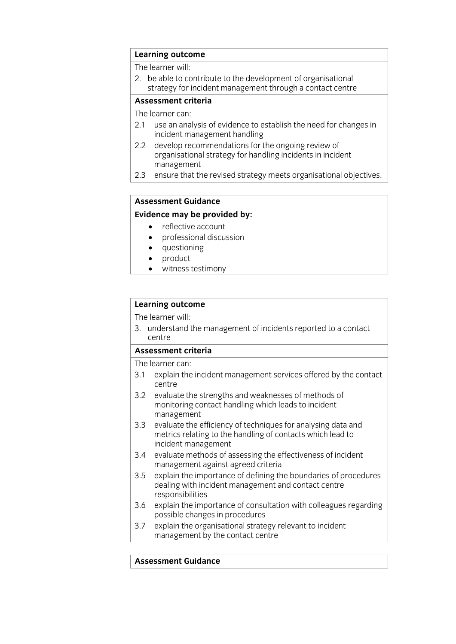# **Learning outcome**<br>The learner will:

2. be able to contribute to the development of organisational strategy for incident management through a contact centre

### Assessment criteria

The learner can:

- 2.1 use an analysis of evidence to establish the need for changes in incident management handling
- develop recommendations for the ongoing review of 2.2 develop recommendations for the ongoing review of organisational strategy for handling incidents in incident management
- 2.3 ensure that the revised strategy meets organisational objectives.  $\frac{3}{2}$  ensure that the revision of  $\frac{3}{2}$  ensure  $\frac{3}{2}$  ensure  $\frac{3}{2}$

# **Assessment Guidance**

- reflective account<br>• professional discussion
	- professional discussion<br>• questioning
	- questioning<br>• product
	- product<br>• witness
	- witness testimony

# **Learning outcome**<br>The learner will:

3. understand the management of incidents reported to a contact  $\frac{3}{2}$ . understand the management of incidents represented to a contact reported to a contact reported to a contact reported to a contact reported to a contact reported to a contact reported to a contact reported to a

### Assessment criteria

The learner can:

- 3.1 explain the incident management services offered by the contact  $\frac{1}{3}$ . Centre
- $3.2$ evaluate the strengths and weaknesses of methods of monitoring contact handling which leads to incident management
- $3.3$ evaluate the efficiency of techniques for analysing data and metrics relating to the handling of contacts which lead to incident management
- evaluate methods of assessing the effectiveness of incident 3.4 evaluate methods of assessing the ef<br>management against agreed criteria
- $3.5$ explain the importance of defining the boundaries of procedures dealing with incident management and contact centre responsibilities
- explain the importance of consultation with colleagues regarding 3.6 explain the importance of consule possible changes in procedures
- $3.7$ explain the organisational strategy relevant to incident  $\frac{3}{2}$  explains the organisation of  $\frac{3}{2}$  relevant to include the management hyperparticle relevant to include the management of  $\frac{3}{2}$  relevant to include the management of  $\frac{3}{2}$  relevant to increment the m management by the contact centre.

### **Assessment Guidance**